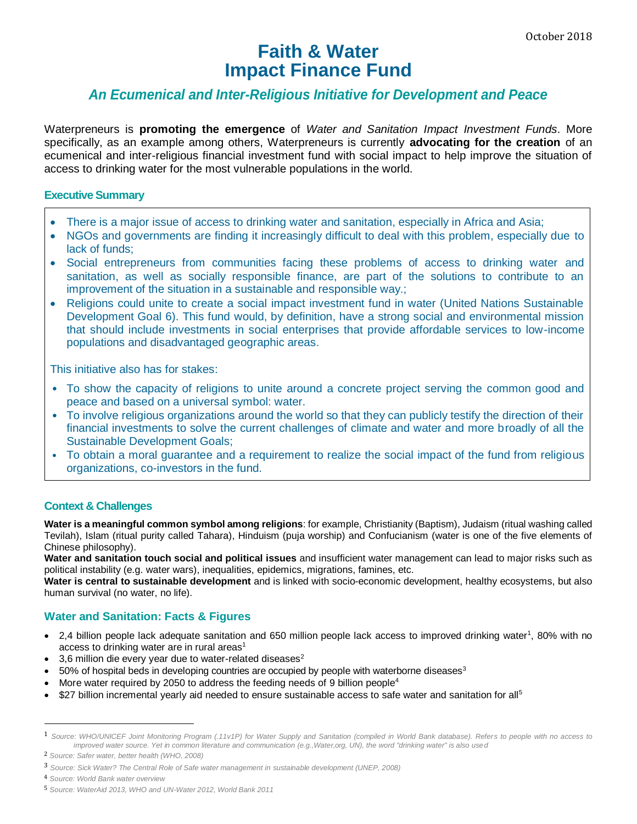# **Faith & Water Impact Finance Fund**

# *An Ecumenical and Inter-Religious Initiative for Development and Peace*

Waterpreneurs is **promoting the emergence** of *Water and Sanitation Impact Investment Funds*. More specifically, as an example among others, Waterpreneurs is currently **advocating for the creation** of an ecumenical and inter-religious financial investment fund with social impact to help improve the situation of access to drinking water for the most vulnerable populations in the world.

#### **Executive Summary**

- There is a major issue of access to drinking water and sanitation, especially in Africa and Asia;
- NGOs and governments are finding it increasingly difficult to deal with this problem, especially due to lack of funds;
- Social entrepreneurs from communities facing these problems of access to drinking water and sanitation, as well as socially responsible finance, are part of the solutions to contribute to an improvement of the situation in a sustainable and responsible way.;
- Religions could unite to create a social impact investment fund in water (United Nations Sustainable Development Goal 6). This fund would, by definition, have a strong social and environmental mission that should include investments in social enterprises that provide affordable services to low-income populations and disadvantaged geographic areas.

This initiative also has for stakes:

- To show the capacity of religions to unite around a concrete project serving the common good and peace and based on a universal symbol: water.
- To involve religious organizations around the world so that they can publicly testify the direction of their financial investments to solve the current challenges of climate and water and more broadly of all the Sustainable Development Goals;
- To obtain a moral guarantee and a requirement to realize the social impact of the fund from religious organizations, co-investors in the fund.

# **Context & Challenges**

**Water is a meaningful common symbol among religions**: for example, Christianity (Baptism), Judaism (ritual washing called Tevilah), Islam (ritual purity called Tahara), Hinduism (puja worship) and Confucianism (water is one of the five elements of Chinese philosophy).

**Water and sanitation touch social and political issues** and insufficient water management can lead to major risks such as political instability (e.g. water wars), inequalities, epidemics, migrations, famines, etc.

**Water is central to sustainable development** and is linked with socio-economic development, healthy ecosystems, but also human survival (no water, no life).

# **Water and Sanitation: Facts & Figures**

- 2,4 billion people lack adequate sanitation and 650 million people lack access to improved drinking water<sup>1</sup>, 80% with no access to drinking water are in rural areas $1$
- 3,6 million die every year due to water-related diseases $2$
- $\bullet$  50% of hospital beds in developing countries are occupied by people with waterborne diseases<sup>3</sup>
- More water required by 2050 to address the feeding needs of 9 billion people<sup>4</sup>
- \$27 billion incremental yearly aid needed to ensure sustainable access to safe water and sanitation for all<sup>5</sup>

 $\overline{a}$ 

<sup>1</sup> *Source: WHO/UNICEF Joint Monitoring Program (.11v1P) for Water Supply and Sanitation (compiled in World Bank database). Refers to people with no access to improved water source. Yet in common literature and communication (e.g.,Water,org, UN), the word "drinking water" is also used*

<sup>2</sup> *Source: Safer water, better health (WHO, 2008)*

<sup>3</sup> *Source: Sick Water? The Central Role of Safe water management in sustainable development (UNEP, 2008)*

<sup>4</sup> *Source: World Bank water overview*

<sup>5</sup> *Source: WaterAid 2013, WHO and UN-Water 2012, World Bank 2011*